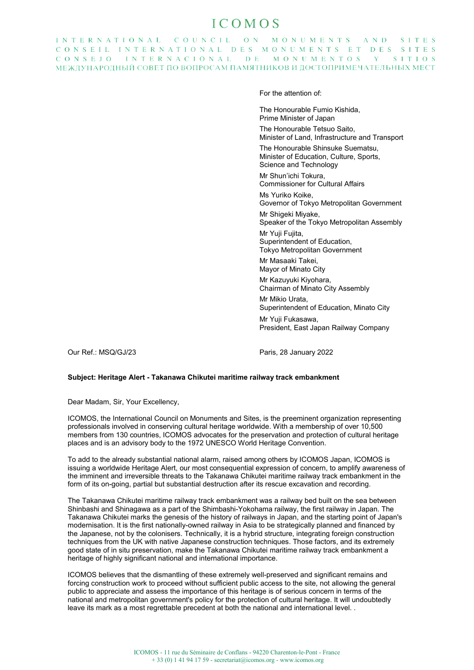## ICOMOS

INTERNATIONAL COUNCIL ON MONUMENTS AND SITES CONSEIL INTERNATIONAL DES MONUMENTS ET DES SITES CONSEJO INTERNACIONAL DE MONUMENTOS Y SITIOS МЕЖДУНАРОДНЫЙ СОВЕТ ПО ВОПРОСАМ ПАМЯТНИКОВ И ДОСТОПРИМЕЧАТЕЛЬНЫХ МЕСТ

For the attention of:

The Honourable Fumio Kishida, Prime Minister of Japan

The Honourable Tetsuo Saito, Minister of Land, Infrastructure and Transport

The Honourable Shinsuke Suematsu, Minister of Education, Culture, Sports, Science and Technology

Mr Shun'ichi Tokura, Commissioner for Cultural Affairs

Ms Yuriko Koike, Governor of Tokyo Metropolitan Government

Mr Shigeki Miyake, Speaker of the Tokyo Metropolitan Assembly

Mr Yuji Fujita, Superintendent of Education, Tokyo Metropolitan Government

Mr Masaaki Takei, Mayor of Minato City

Mr Kazuyuki Kiyohara, Chairman of Minato City Assembly

Mr Mikio Urata, Superintendent of Education, Minato City

Mr Yuji Fukasawa, President, East Japan Railway Company

Our Ref.: MSQ/GJ/23 **Paris, 28 January 2022** 

## **Subject: Heritage Alert - Takanawa Chikutei maritime railway track embankment**

Dear Madam, Sir, Your Excellency,

ICOMOS, the International Council on Monuments and Sites, is the preeminent organization representing professionals involved in conserving cultural heritage worldwide. With a membership of over 10,500 members from 130 countries, ICOMOS advocates for the preservation and protection of cultural heritage places and is an advisory body to the 1972 UNESCO World Heritage Convention.

To add to the already substantial national alarm, raised among others by ICOMOS Japan, ICOMOS is issuing a worldwide Heritage Alert, our most consequential expression of concern, to amplify awareness of the imminent and irreversible threats to the Takanawa Chikutei maritime railway track embankment in the form of its on-going, partial but substantial destruction after its rescue excavation and recording.

The Takanawa Chikutei maritime railway track embankment was a railway bed built on the sea between Shinbashi and Shinagawa as a part of the Shimbashi-Yokohama railway, the first railway in Japan. The Takanawa Chikutei marks the genesis of the history of railways in Japan, and the starting point of Japan's modernisation. It is the first nationally-owned railway in Asia to be strategically planned and financed by the Japanese, not by the colonisers. Technically, it is a hybrid structure, integrating foreign construction techniques from the UK with native Japanese construction techniques. Those factors, and its extremely good state of in situ preservation, make the Takanawa Chikutei maritime railway track embankment a heritage of highly significant national and international importance.

ICOMOS believes that the dismantling of these extremely well-preserved and significant remains and forcing construction work to proceed without sufficient public access to the site, not allowing the general public to appreciate and assess the importance of this heritage is of serious concern in terms of the national and metropolitan government's policy for the protection of cultural heritage. It will undoubtedly leave its mark as a most regrettable precedent at both the national and international level. .